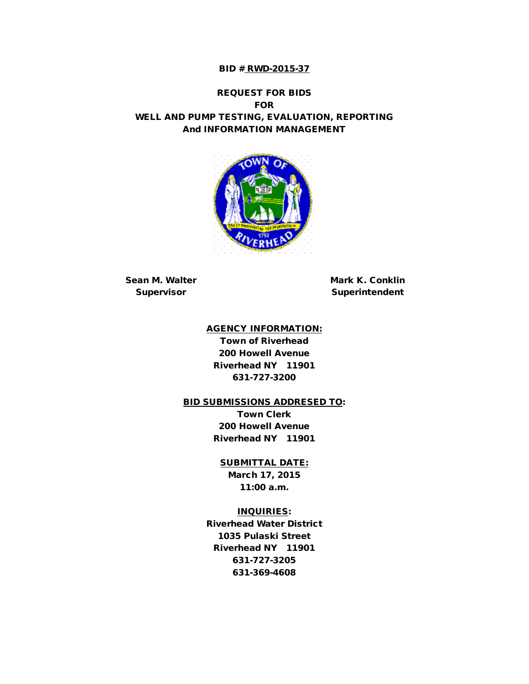#### BID # RWD-2015-37

#### REQUEST FOR BIDS FOR WELL AND PUMP TESTING, EVALUATION, REPORTING And INFORMATION MANAGEMENT



Sean M. Walter **Mark K. Conklin** 

Supervisor Superintendent

#### AGENCY INFORMATION:

Town of Riverhead 200 Howell Avenue Riverhead NY 11901 631-727-3200

#### BID SUBMISSIONS ADDRESED TO:

Town Clerk 200 Howell Avenue Riverhead NY 11901

#### SUBMITTAL DATE:

March 17, 2015 11:00 a.m.

#### INQUIRIES:

Riverhead Water District 1035 Pulaski Street Riverhead NY 11901 631-727-3205 631-369-4608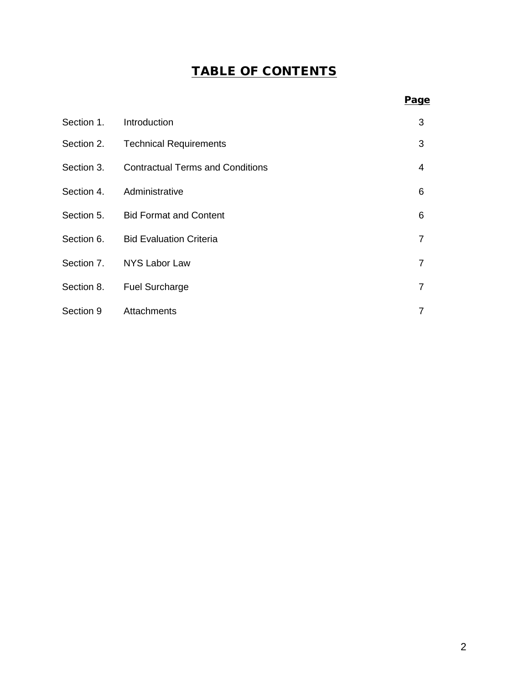# TABLE OF CONTENTS

| Section 1. | Introduction                            | 3              |
|------------|-----------------------------------------|----------------|
| Section 2. | <b>Technical Requirements</b>           | 3              |
| Section 3. | <b>Contractual Terms and Conditions</b> | $\overline{4}$ |
| Section 4. | Administrative                          | 6              |
|            | Section 5. Bid Format and Content       | 6              |
|            | Section 6. Bid Evaluation Criteria      | $\overline{7}$ |
| Section 7. | NYS Labor Law                           | $\overline{7}$ |
| Section 8. | <b>Fuel Surcharge</b>                   | $\overline{7}$ |
| Section 9  | Attachments                             | 7              |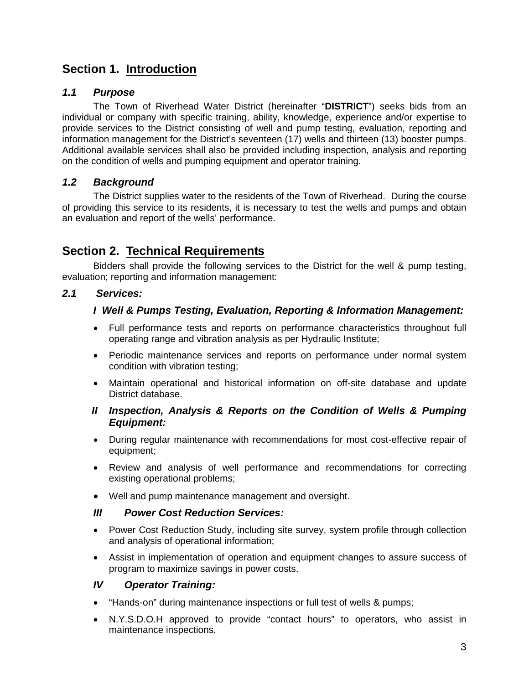## **Section 1. Introduction**

### *1.1 Purpose*

The Town of Riverhead Water District (hereinafter "**DISTRICT**") seeks bids from an individual or company with specific training, ability, knowledge, experience and/or expertise to provide services to the District consisting of well and pump testing, evaluation, reporting and information management for the District's seventeen (17) wells and thirteen (13) booster pumps. Additional available services shall also be provided including inspection, analysis and reporting on the condition of wells and pumping equipment and operator training.

### *1.2 Background*

The District supplies water to the residents of the Town of Riverhead. During the course of providing this service to its residents, it is necessary to test the wells and pumps and obtain an evaluation and report of the wells' performance.

## **Section 2. Technical Requirements**

Bidders shall provide the following services to the District for the well & pump testing, evaluation; reporting and information management:

### *2.1 Services:*

### *I Well & Pumps Testing, Evaluation, Reporting & Information Management:*

- Full performance tests and reports on performance characteristics throughout full operating range and vibration analysis as per Hydraulic Institute;
- Periodic maintenance services and reports on performance under normal system condition with vibration testing;
- Maintain operational and historical information on off-site database and update District database.
- *II Inspection, Analysis & Reports on the Condition of Wells & Pumping Equipment:*
- During regular maintenance with recommendations for most cost-effective repair of equipment;
- Review and analysis of well performance and recommendations for correcting existing operational problems;
- Well and pump maintenance management and oversight.

### *III Power Cost Reduction Services:*

- Power Cost Reduction Study, including site survey, system profile through collection and analysis of operational information;
- Assist in implementation of operation and equipment changes to assure success of program to maximize savings in power costs.

### *IV Operator Training:*

- "Hands-on" during maintenance inspections or full test of wells & pumps;
- N.Y.S.D.O.H approved to provide "contact hours" to operators, who assist in maintenance inspections.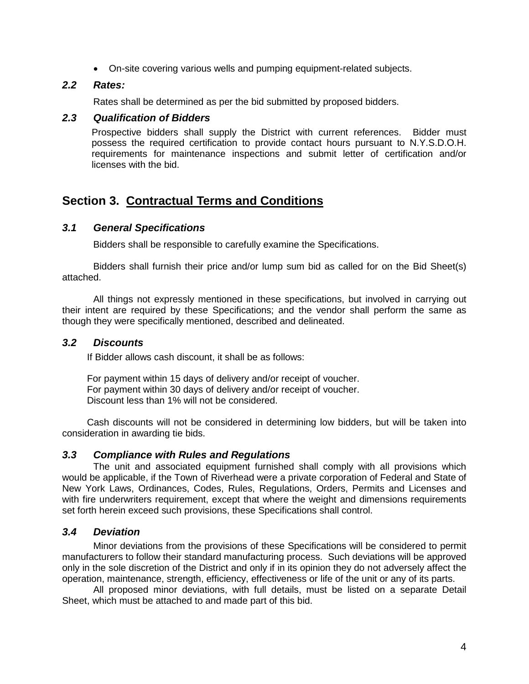• On-site covering various wells and pumping equipment-related subjects.

#### *2.2 Rates:*

Rates shall be determined as per the bid submitted by proposed bidders.

#### *2.3 Qualification of Bidders*

Prospective bidders shall supply the District with current references. Bidder must possess the required certification to provide contact hours pursuant to N.Y.S.D.O.H. requirements for maintenance inspections and submit letter of certification and/or licenses with the bid.

# **Section 3. Contractual Terms and Conditions**

#### *3.1 General Specifications*

Bidders shall be responsible to carefully examine the Specifications.

Bidders shall furnish their price and/or lump sum bid as called for on the Bid Sheet(s) attached.

All things not expressly mentioned in these specifications, but involved in carrying out their intent are required by these Specifications; and the vendor shall perform the same as though they were specifically mentioned, described and delineated.

#### *3.2 Discounts*

If Bidder allows cash discount, it shall be as follows:

For payment within 15 days of delivery and/or receipt of voucher. For payment within 30 days of delivery and/or receipt of voucher. Discount less than 1% will not be considered.

Cash discounts will not be considered in determining low bidders, but will be taken into consideration in awarding tie bids.

#### *3.3 Compliance with Rules and Regulations*

The unit and associated equipment furnished shall comply with all provisions which would be applicable, if the Town of Riverhead were a private corporation of Federal and State of New York Laws, Ordinances, Codes, Rules, Regulations, Orders, Permits and Licenses and with fire underwriters requirement, except that where the weight and dimensions requirements set forth herein exceed such provisions, these Specifications shall control.

#### *3.4 Deviation*

Minor deviations from the provisions of these Specifications will be considered to permit manufacturers to follow their standard manufacturing process. Such deviations will be approved only in the sole discretion of the District and only if in its opinion they do not adversely affect the operation, maintenance, strength, efficiency, effectiveness or life of the unit or any of its parts.

All proposed minor deviations, with full details, must be listed on a separate Detail Sheet, which must be attached to and made part of this bid.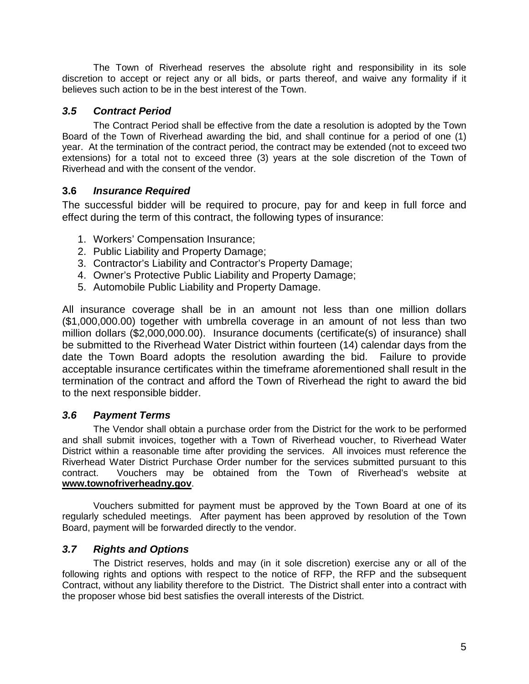The Town of Riverhead reserves the absolute right and responsibility in its sole discretion to accept or reject any or all bids, or parts thereof, and waive any formality if it believes such action to be in the best interest of the Town.

### *3.5 Contract Period*

The Contract Period shall be effective from the date a resolution is adopted by the Town Board of the Town of Riverhead awarding the bid, and shall continue for a period of one (1) year. At the termination of the contract period, the contract may be extended (not to exceed two extensions) for a total not to exceed three (3) years at the sole discretion of the Town of Riverhead and with the consent of the vendor.

### **3.6** *Insurance Required*

The successful bidder will be required to procure, pay for and keep in full force and effect during the term of this contract, the following types of insurance:

- 1. Workers' Compensation Insurance;
- 2. Public Liability and Property Damage;
- 3. Contractor's Liability and Contractor's Property Damage;
- 4. Owner's Protective Public Liability and Property Damage;
- 5. Automobile Public Liability and Property Damage.

All insurance coverage shall be in an amount not less than one million dollars (\$1,000,000.00) together with umbrella coverage in an amount of not less than two million dollars (\$2,000,000.00). Insurance documents (certificate(s) of insurance) shall be submitted to the Riverhead Water District within fourteen (14) calendar days from the date the Town Board adopts the resolution awarding the bid. Failure to provide acceptable insurance certificates within the timeframe aforementioned shall result in the termination of the contract and afford the Town of Riverhead the right to award the bid to the next responsible bidder.

### *3.6 Payment Terms*

The Vendor shall obtain a purchase order from the District for the work to be performed and shall submit invoices, together with a Town of Riverhead voucher, to Riverhead Water District within a reasonable time after providing the services. All invoices must reference the Riverhead Water District Purchase Order number for the services submitted pursuant to this contract. Vouchers may be obtained from the Town of Riverhead's website at **www.townofriverheadny.gov**.

Vouchers submitted for payment must be approved by the Town Board at one of its regularly scheduled meetings. After payment has been approved by resolution of the Town Board, payment will be forwarded directly to the vendor.

### *3.7 Rights and Options*

The District reserves, holds and may (in it sole discretion) exercise any or all of the following rights and options with respect to the notice of RFP, the RFP and the subsequent Contract, without any liability therefore to the District. The District shall enter into a contract with the proposer whose bid best satisfies the overall interests of the District.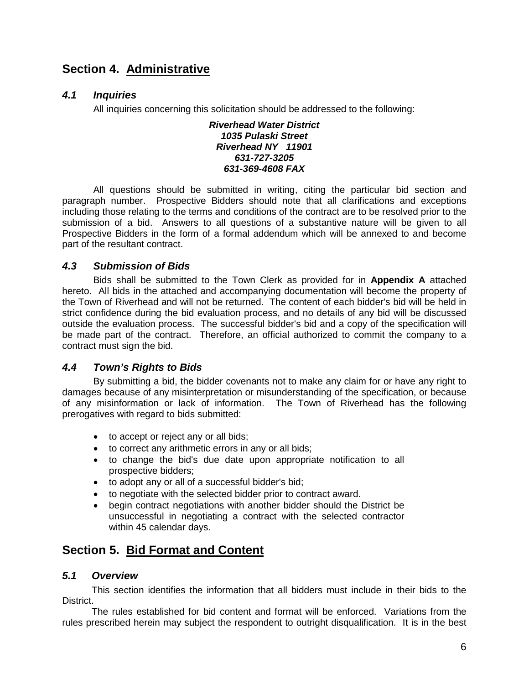## **Section 4. Administrative**

### *4.1 Inquiries*

All inquiries concerning this solicitation should be addressed to the following:

#### *Riverhead Water District 1035 Pulaski Street Riverhead NY 11901 631-727-3205 631-369-4608 FAX*

All questions should be submitted in writing, citing the particular bid section and paragraph number. Prospective Bidders should note that all clarifications and exceptions including those relating to the terms and conditions of the contract are to be resolved prior to the submission of a bid. Answers to all questions of a substantive nature will be given to all Prospective Bidders in the form of a formal addendum which will be annexed to and become part of the resultant contract.

### *4.3 Submission of Bids*

Bids shall be submitted to the Town Clerk as provided for in **Appendix A** attached hereto. All bids in the attached and accompanying documentation will become the property of the Town of Riverhead and will not be returned. The content of each bidder's bid will be held in strict confidence during the bid evaluation process, and no details of any bid will be discussed outside the evaluation process. The successful bidder's bid and a copy of the specification will be made part of the contract. Therefore, an official authorized to commit the company to a contract must sign the bid.

### *4.4 Town's Rights to Bids*

By submitting a bid, the bidder covenants not to make any claim for or have any right to damages because of any misinterpretation or misunderstanding of the specification, or because of any misinformation or lack of information. The Town of Riverhead has the following prerogatives with regard to bids submitted:

- to accept or reject any or all bids;
- to correct any arithmetic errors in any or all bids;
- to change the bid's due date upon appropriate notification to all prospective bidders;
- to adopt any or all of a successful bidder's bid;
- to negotiate with the selected bidder prior to contract award.
- begin contract negotiations with another bidder should the District be unsuccessful in negotiating a contract with the selected contractor within 45 calendar days.

## **Section 5. Bid Format and Content**

### *5.1 Overview*

This section identifies the information that all bidders must include in their bids to the District.

The rules established for bid content and format will be enforced. Variations from the rules prescribed herein may subject the respondent to outright disqualification. It is in the best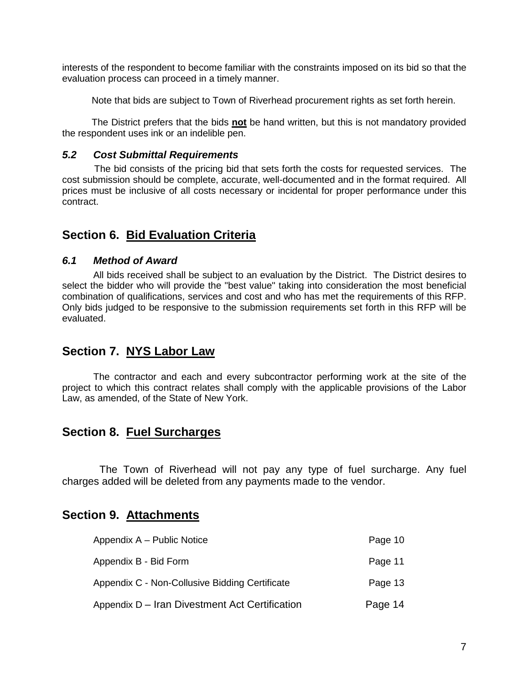interests of the respondent to become familiar with the constraints imposed on its bid so that the evaluation process can proceed in a timely manner.

Note that bids are subject to Town of Riverhead procurement rights as set forth herein.

The District prefers that the bids **not** be hand written, but this is not mandatory provided the respondent uses ink or an indelible pen.

#### *5.2 Cost Submittal Requirements*

The bid consists of the pricing bid that sets forth the costs for requested services. The cost submission should be complete, accurate, well-documented and in the format required. All prices must be inclusive of all costs necessary or incidental for proper performance under this contract.

## **Section 6. Bid Evaluation Criteria**

#### *6.1 Method of Award*

All bids received shall be subject to an evaluation by the District. The District desires to select the bidder who will provide the "best value" taking into consideration the most beneficial combination of qualifications, services and cost and who has met the requirements of this RFP. Only bids judged to be responsive to the submission requirements set forth in this RFP will be evaluated.

## **Section 7. NYS Labor Law**

The contractor and each and every subcontractor performing work at the site of the project to which this contract relates shall comply with the applicable provisions of the Labor Law, as amended, of the State of New York.

### **Section 8. Fuel Surcharges**

The Town of Riverhead will not pay any type of fuel surcharge. Any fuel charges added will be deleted from any payments made to the vendor.

## **Section 9. Attachments**

| Appendix A – Public Notice                     | Page 10 |
|------------------------------------------------|---------|
| Appendix B - Bid Form                          | Page 11 |
| Appendix C - Non-Collusive Bidding Certificate | Page 13 |
| Appendix D – Iran Divestment Act Certification | Page 14 |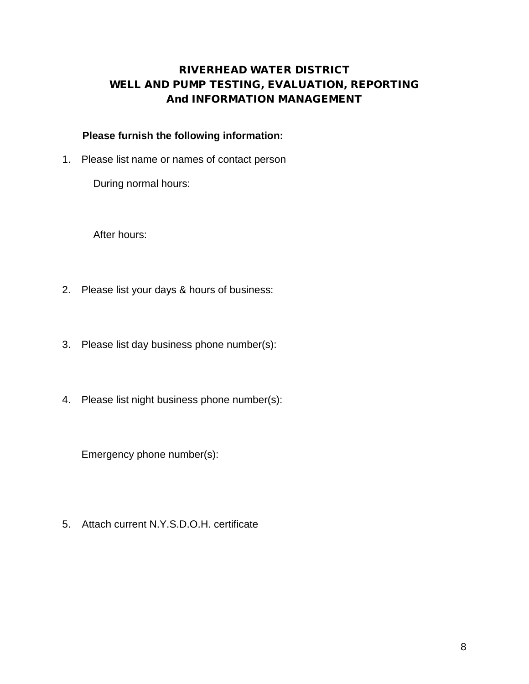## RIVERHEAD WATER DISTRICT WELL AND PUMP TESTING, EVALUATION, REPORTING And INFORMATION MANAGEMENT

### **Please furnish the following information:**

1. Please list name or names of contact person

During normal hours:

After hours:

- 2. Please list your days & hours of business:
- 3. Please list day business phone number(s):
- 4. Please list night business phone number(s):

Emergency phone number(s):

5. Attach current N.Y.S.D.O.H. certificate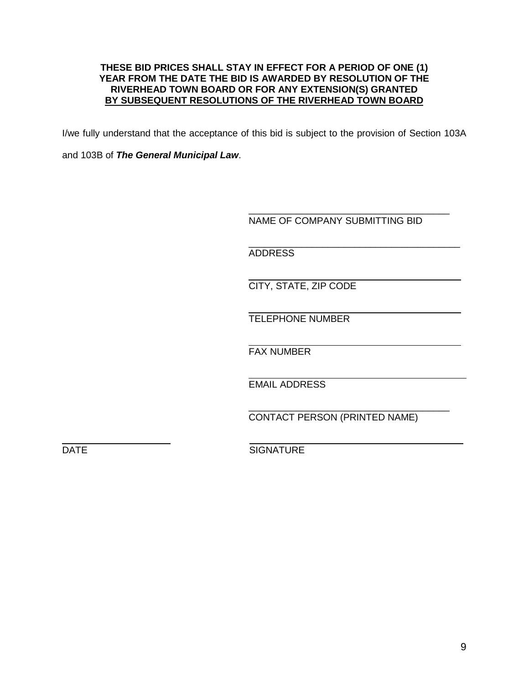#### **THESE BID PRICES SHALL STAY IN EFFECT FOR A PERIOD OF ONE (1) YEAR FROM THE DATE THE BID IS AWARDED BY RESOLUTION OF THE RIVERHEAD TOWN BOARD OR FOR ANY EXTENSION(S) GRANTED BY SUBSEQUENT RESOLUTIONS OF THE RIVERHEAD TOWN BOARD**

I/we fully understand that the acceptance of this bid is subject to the provision of Section 103A

and 103B of *The General Municipal Law*.

\_\_\_\_\_\_\_\_\_\_\_\_\_\_\_\_\_\_\_\_\_\_\_\_\_\_\_\_\_\_\_\_\_\_\_\_\_\_ NAME OF COMPANY SUBMITTING BID

\_\_\_\_\_\_\_\_\_\_\_\_\_\_\_\_\_\_\_\_\_\_\_\_\_\_\_\_\_\_\_\_\_\_\_\_\_\_\_\_ ADDRESS

CITY, STATE, ZIP CODE

TELEPHONE NUMBER

FAX NUMBER

EMAIL ADDRESS

\_\_\_\_\_\_\_\_\_\_\_\_\_\_\_\_\_\_\_\_\_\_\_\_\_\_\_\_\_\_\_\_\_\_\_\_\_\_ CONTACT PERSON (PRINTED NAME)

DATE SIGNATURE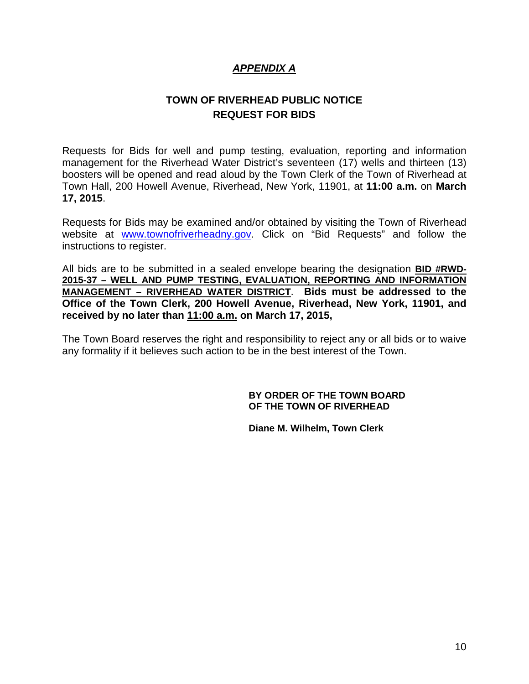### *APPENDIX A*

## **TOWN OF RIVERHEAD PUBLIC NOTICE REQUEST FOR BIDS**

Requests for Bids for well and pump testing, evaluation, reporting and information management for the Riverhead Water District's seventeen (17) wells and thirteen (13) boosters will be opened and read aloud by the Town Clerk of the Town of Riverhead at Town Hall, 200 Howell Avenue, Riverhead, New York, 11901, at **11:00 a.m.** on **March 17, 2015**.

Requests for Bids may be examined and/or obtained by visiting the Town of Riverhead website at [www.townofriverheadny.gov.](http://www.townofriverheadny.gov/) Click on "Bid Requests" and follow the instructions to register.

All bids are to be submitted in a sealed envelope bearing the designation **BID #RWD-2015-37 – WELL AND PUMP TESTING, EVALUATION, REPORTING AND INFORMATION MANAGEMENT – RIVERHEAD WATER DISTRICT**. **Bids must be addressed to the Office of the Town Clerk, 200 Howell Avenue, Riverhead, New York, 11901, and received by no later than 11:00 a.m. on March 17, 2015,** 

The Town Board reserves the right and responsibility to reject any or all bids or to waive any formality if it believes such action to be in the best interest of the Town.

#### **BY ORDER OF THE TOWN BOARD OF THE TOWN OF RIVERHEAD**

**Diane M. Wilhelm, Town Clerk**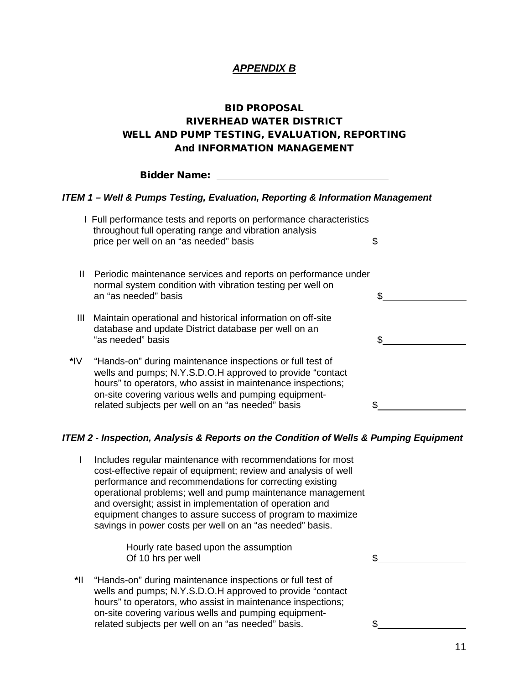### *APPENDIX B*

### BID PROPOSAL RIVERHEAD WATER DISTRICT WELL AND PUMP TESTING, EVALUATION, REPORTING And INFORMATION MANAGEMENT

|                                                                               | <b>Bidder Name:</b>                                                                                                                                                                                                                                                                                  |     |  |  |  |
|-------------------------------------------------------------------------------|------------------------------------------------------------------------------------------------------------------------------------------------------------------------------------------------------------------------------------------------------------------------------------------------------|-----|--|--|--|
| ITEM 1 – Well & Pumps Testing, Evaluation, Reporting & Information Management |                                                                                                                                                                                                                                                                                                      |     |  |  |  |
|                                                                               | I Full performance tests and reports on performance characteristics<br>throughout full operating range and vibration analysis<br>price per well on an "as needed" basis                                                                                                                              |     |  |  |  |
| Ш                                                                             | Periodic maintenance services and reports on performance under<br>normal system condition with vibration testing per well on<br>an "as needed" basis                                                                                                                                                 |     |  |  |  |
| Ш                                                                             | Maintain operational and historical information on off-site<br>database and update District database per well on an<br>"as needed" basis                                                                                                                                                             | \$. |  |  |  |
| *IV                                                                           | "Hands-on" during maintenance inspections or full test of<br>wells and pumps; N.Y.S.D.O.H approved to provide "contact"<br>hours" to operators, who assist in maintenance inspections;<br>on-site covering various wells and pumping equipment-<br>related subjects per well on an "as needed" basis |     |  |  |  |

#### *ITEM 2 - Inspection, Analysis & Reports on the Condition of Wells & Pumping Equipment*

I Includes regular maintenance with recommendations for most cost-effective repair of equipment; review and analysis of well performance and recommendations for correcting existing operational problems; well and pump maintenance management and oversight; assist in implementation of operation and equipment changes to assure success of program to maximize savings in power costs per well on an "as needed" basis.

> Hourly rate based upon the assumption Of 10 hrs per well Section 10 and  $\frac{1}{2}$  Section 10 and  $\frac{1}{2}$

**\***II "Hands-on" during maintenance inspections or full test of wells and pumps; N.Y.S.D.O.H approved to provide "contact hours" to operators, who assist in maintenance inspections; on-site covering various wells and pumping equipmentrelated subjects per well on an "as needed" basis.  $\$\$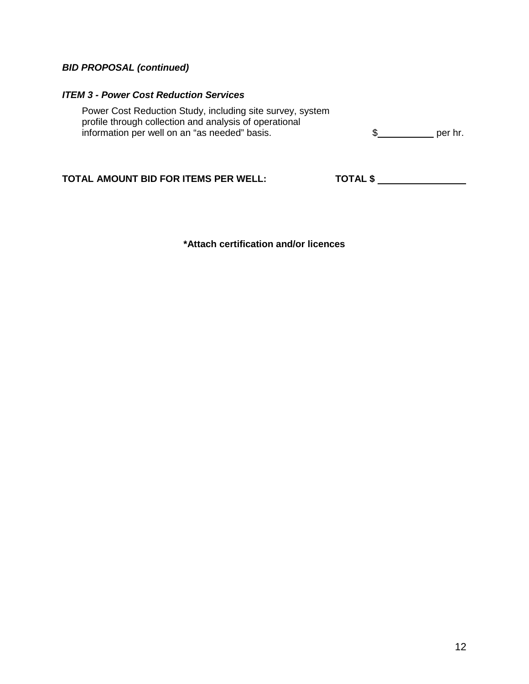### *BID PROPOSAL (continued)*

#### *ITEM 3 - Power Cost Reduction Services*

Power Cost Reduction Study, including site survey, system profile through collection and analysis of operational information per well on an "as needed" basis.  $\qquad \qquad$   $\qquad \qquad$   $\qquad \qquad$   $\qquad \qquad$  per hr.

## **TOTAL AMOUNT BID FOR ITEMS PER WELL: TOTAL \$**

**\*Attach certification and/or licences**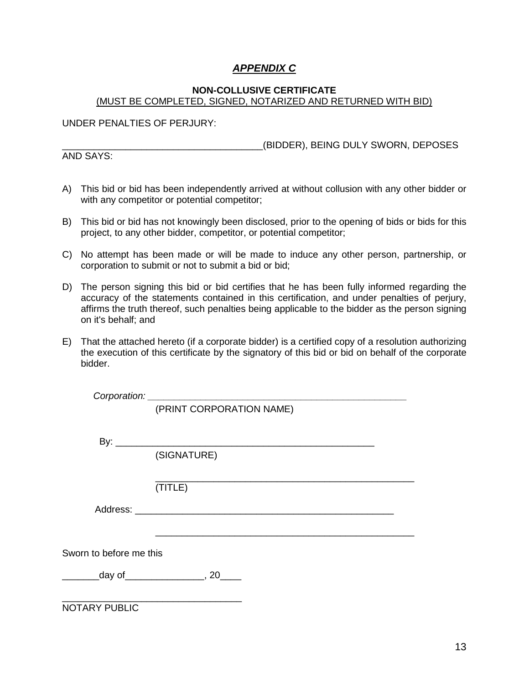### *APPENDIX C*

#### **NON-COLLUSIVE CERTIFICATE** (MUST BE COMPLETED, SIGNED, NOTARIZED AND RETURNED WITH BID)

UNDER PENALTIES OF PERJURY:

AND SAYS:

\_\_\_\_\_\_\_\_\_\_\_\_\_\_\_\_\_\_\_\_\_\_\_\_\_\_\_\_\_\_\_\_\_\_\_\_\_\_(BIDDER), BEING DULY SWORN, DEPOSES

- A) This bid or bid has been independently arrived at without collusion with any other bidder or with any competitor or potential competitor;
- B) This bid or bid has not knowingly been disclosed, prior to the opening of bids or bids for this project, to any other bidder, competitor, or potential competitor;
- C) No attempt has been made or will be made to induce any other person, partnership, or corporation to submit or not to submit a bid or bid;
- D) The person signing this bid or bid certifies that he has been fully informed regarding the accuracy of the statements contained in this certification, and under penalties of perjury, affirms the truth thereof, such penalties being applicable to the bidder as the person signing on it's behalf; and
- E) That the attached hereto (if a corporate bidder) is a certified copy of a resolution authorizing the execution of this certificate by the signatory of this bid or bid on behalf of the corporate bidder.

|                         | (PRINT CORPORATION NAME)           |
|-------------------------|------------------------------------|
|                         |                                    |
|                         |                                    |
|                         | (SIGNATURE)                        |
|                         |                                    |
|                         | (TITLE)                            |
|                         |                                    |
|                         |                                    |
| Sworn to before me this |                                    |
|                         | _day of__________________, 20_____ |
|                         |                                    |
|                         |                                    |

NOTARY PUBLIC